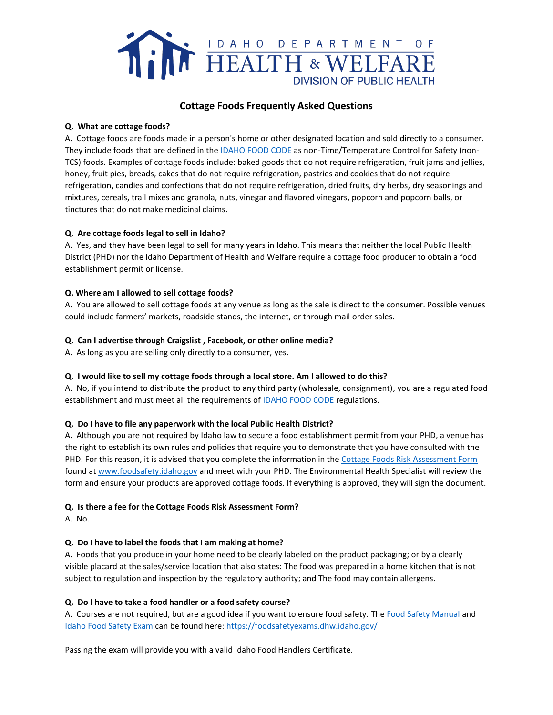

# **Cottage Foods Frequently Asked Questions**

## **Q. What are cottage foods?**

A. Cottage foods are foods made in a person's home or other designated location and sold directly to a consumer. They include foods that are defined in the [IDAHO](https://publicdocuments.dhw.idaho.gov/WebLink/DocView.aspx?id=14569&dbid=0&repo=PUBLIC-DOCUMENTS&cr=1) FOOD CODE as non-Time/Temperature Control for Safety (non-TCS) foods. Examples of cottage foods include: baked goods that do not require refrigeration, fruit jams and jellies, honey, fruit pies, breads, cakes that do not require refrigeration, pastries and cookies that do not require refrigeration, candies and confections that do not require refrigeration, dried fruits, dry herbs, dry seasonings and mixtures, cereals, trail mixes and granola, nuts, vinegar and flavored vinegars, popcorn and popcorn balls, or tinctures that do not make medicinal claims.

## **Q. Are cottage foods legal to sell in Idaho?**

A. Yes, and they have been legal to sell for many years in Idaho. This means that neither the local Public Health District (PHD) nor the Idaho Department of Health and Welfare require a cottage food producer to obtain a food establishment permit or license.

## **Q. Where am I allowed to sell cottage foods?**

A. You are allowed to sell cottage foods at any venue as long as the sale is direct to the consumer. Possible venues could include farmers' markets, roadside stands, the internet, or through mail order sales.

## **Q. Can I advertise through Craigslist , Facebook, or other online media?**

A. As long as you are selling only directly to a consumer, yes.

## **Q. I would like to sell my cottage foods through a local store. Am I allowed to do this?**

A. No, if you intend to distribute the product to any third party (wholesale, consignment), you are a regulated food establishment and must meet all the requirements of [IDAHO FOOD CODE](https://publicdocuments.dhw.idaho.gov/WebLink/DocView.aspx?id=14569&dbid=0&repo=PUBLIC-DOCUMENTS&cr=1) regulations.

## **Q. Do I have to file any paperwork with the local Public Health District?**

A. Although you are not required by Idaho law to secure a food establishment permit from your PHD, a venue has the right to establish its own rules and policies that require you to demonstrate that you have consulted with the PHD. For this reason, it is advised that you complete the information in the [Cottage Foods Risk Assessment Form](https://publicdocuments.dhw.idaho.gov/WebLink/DocView.aspx?id=1528&dbid=0&repo=PUBLIC-DOCUMENTS&cr=1) found a[t www.foodsafety.idaho.gov](http://www.foodsafety.idaho.gov/) and meet with your PHD. The Environmental Health Specialist will review the form and ensure your products are approved cottage foods. If everything is approved, they will sign the document.

## **Q. Is there a fee for the Cottage Foods Risk Assessment Form?**

A. No.

## **Q. Do I have to label the foods that I am making at home?**

A. Foods that you produce in your home need to be clearly labeled on the product packaging; or by a clearly visible placard at the sales/service location that also states: The food was prepared in a home kitchen that is not subject to regulation and inspection by the regulatory authority; and The food may contain allergens.

## **Q. Do I have to take a food handler or a food safety course?**

A. Courses are not required, but are a good idea if you want to ensure food safety. Th[e Food Safety Manual](https://publicdocuments.dhw.idaho.gov/WebLink/DocView.aspx?id=1525&dbid=0&repo=PUBLIC-DOCUMENTS&cr=1) and [Idaho Food Safety Exam](https://foodsafetyexams.dhw.idaho.gov/) can be found here:<https://foodsafetyexams.dhw.idaho.gov/>

Passing the exam will provide you with a valid Idaho Food Handlers Certificate.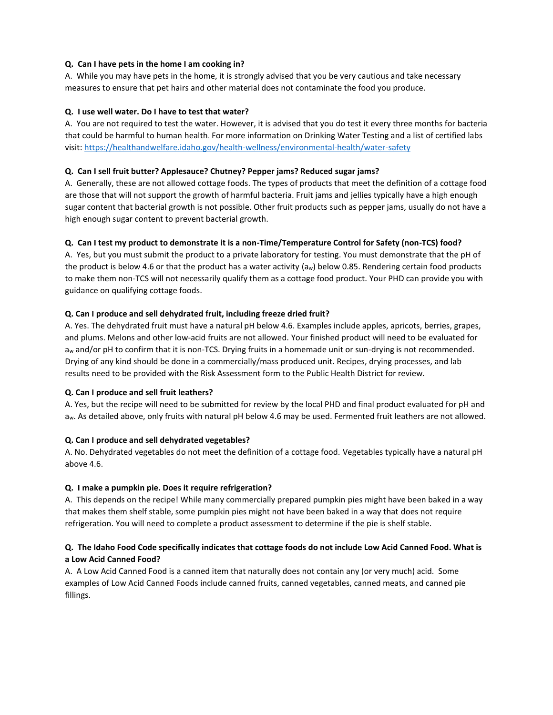## **Q. Can I have pets in the home I am cooking in?**

A. While you may have pets in the home, it is strongly advised that you be very cautious and take necessary measures to ensure that pet hairs and other material does not contaminate the food you produce.

#### **Q. I use well water. Do I have to test that water?**

A. You are not required to test the water. However, it is advised that you do test it every three months for bacteria that could be harmful to human health. For more information on Drinking Water Testing and a list of certified labs visit: <https://healthandwelfare.idaho.gov/health-wellness/environmental-health/water-safety>

#### **Q. Can I sell fruit butter? Applesauce? Chutney? Pepper jams? Reduced sugar jams?**

A. Generally, these are not allowed cottage foods. The types of products that meet the definition of a cottage food are those that will not support the growth of harmful bacteria. Fruit jams and jellies typically have a high enough sugar content that bacterial growth is not possible. Other fruit products such as pepper jams, usually do not have a high enough sugar content to prevent bacterial growth.

#### **Q. Can I test my product to demonstrate it is a non-Time/Temperature Control for Safety (non-TCS) food?**

A. Yes, but you must submit the product to a private laboratory for testing. You must demonstrate that the pH of the product is below 4.6 or that the product has a water activity (aw) below 0.85. Rendering certain food products to make them non-TCS will not necessarily qualify them as a cottage food product. Your PHD can provide you with guidance on qualifying cottage foods.

#### **Q. Can I produce and sell dehydrated fruit, including freeze dried fruit?**

A. Yes. The dehydrated fruit must have a natural pH below 4.6. Examples include apples, apricots, berries, grapes, and plums. Melons and other low-acid fruits are not allowed. Your finished product will need to be evaluated for a<sup>w</sup> and/or pH to confirm that it is non-TCS. Drying fruits in a homemade unit or sun-drying is not recommended. Drying of any kind should be done in a commercially/mass produced unit. Recipes, drying processes, and lab results need to be provided with the Risk Assessment form to the Public Health District for review.

## **Q. Can I produce and sell fruit leathers?**

A. Yes, but the recipe will need to be submitted for review by the local PHD and final product evaluated for pH and aw. As detailed above, only fruits with natural pH below 4.6 may be used. Fermented fruit leathers are not allowed.

#### **Q. Can I produce and sell dehydrated vegetables?**

A. No. Dehydrated vegetables do not meet the definition of a cottage food. Vegetables typically have a natural pH above 4.6.

## **Q. I make a pumpkin pie. Does it require refrigeration?**

A. This depends on the recipe! While many commercially prepared pumpkin pies might have been baked in a way that makes them shelf stable, some pumpkin pies might not have been baked in a way that does not require refrigeration. You will need to complete a product assessment to determine if the pie is shelf stable.

## **Q. The Idaho Food Code specifically indicates that cottage foods do not include Low Acid Canned Food. What is a Low Acid Canned Food?**

A. A Low Acid Canned Food is a canned item that naturally does not contain any (or very much) acid. Some examples of Low Acid Canned Foods include canned fruits, canned vegetables, canned meats, and canned pie fillings.